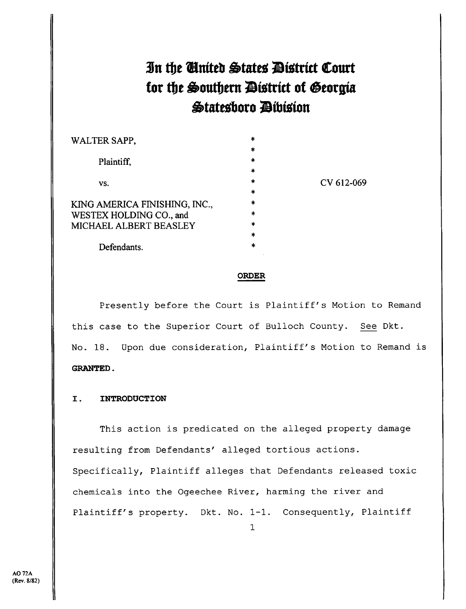# **In the Cinited States District Court for the Aouthern Maria of deorgia Stateshoro Dibision**

CV 612-069

| WALTER SAPP,                  | $\ast$  |  |
|-------------------------------|---------|--|
|                               | $\ast$  |  |
| Plaintiff,                    | *       |  |
|                               | $\ast$  |  |
| VS.                           | *       |  |
|                               | *       |  |
| KING AMERICA FINISHING, INC., | *       |  |
| WESTEX HOLDING CO., and       | *       |  |
| MICHAEL ALBERT BEASLEY        | *       |  |
|                               | $\ast$  |  |
| Defendants.                   | $\star$ |  |
|                               |         |  |

#### **ORDER**

Presently before the Court is Plaintiff's Motion to Remand this case to the Superior Court of Bulloch County. See Dkt. No. 18. Upon due consideration, Plaintiff's Motion to Remand is **GRANTED.** 

# **I. INTRODUCTION**

This action is predicated on the alleged property damage resulting from Defendants' alleged tortious actions. Specifically, Plaintiff alleges that Defendants released toxic chemicals into the Ogeechee River, harming the river and Plaintiff's property. Dkt. No. 1-1. Consequently, Plaintiff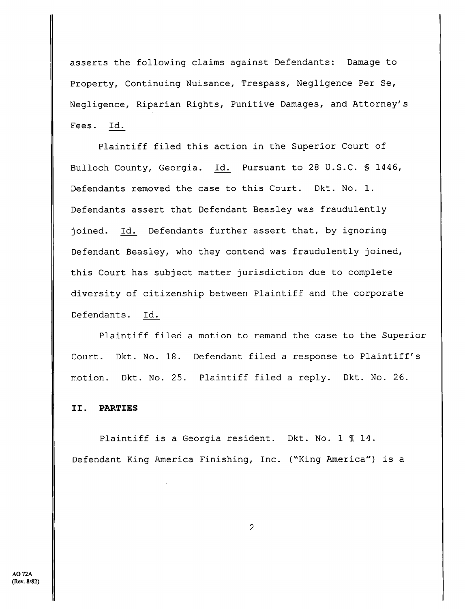asserts the following claims against Defendants: Damage to Property, Continuing Nuisance, Trespass, Negligence Per Se, Negligence, Riparian Rights, Punitive Damages, and Attorney's Fees. Id.

Plaintiff filed this action in the Superior Court of Bulloch County, Georgia. Id. Pursuant to 28 U.S.C. § 1446, Defendants removed the case to this Court. Dkt. No. 1. Defendants assert that Defendant Beasley was fraudulently joined. Id. Defendants further assert that, by ignoring Defendant Beasley, who they contend was fraudulently joined, this Court has subject matter jurisdiction due to complete diversity of citizenship between Plaintiff and the corporate Defendants. Id.

Plaintiff filed a motion to remand the case to the Superior Court. Dkt. No. 18. Defendant filed a response to Plaintiff's motion. Dkt. No. 25. Plaintiff filed a reply. Dkt. No. 26.

### **II. PARTIES**

Plaintiff is a Georgia resident. Dkt. No. 1 ¶ 14. Defendant King America Finishing, Inc. ("King America") is a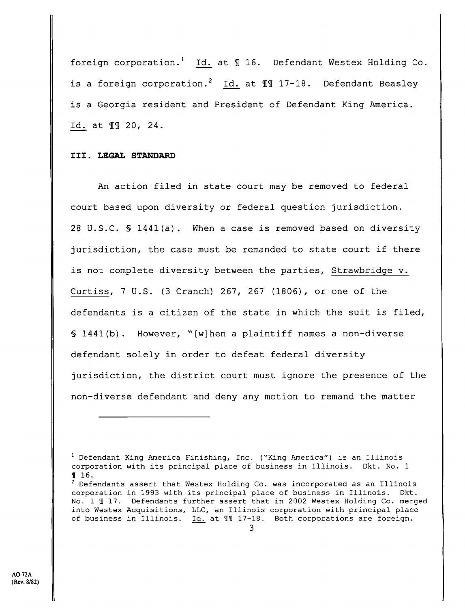foreign corporation.<sup>1</sup> Id. at  $\text{\ensuremath{\mathfrak{A}}}$  16. Defendant Westex Holding Co. is a foreign corporation.<sup>2</sup> Id. at  $\text{\texttt{M}}\text{\texttt{I}}$  17-18. Defendant Beasley is a Georgia resident and President of Defendant King America. Id. at 11 20, 24.

## III. LEGAL STANDARD

An action filed in state court may be removed to federal court based upon diversity or federal question jurisdiction. 28 U.S.C. § 1441(a). When a case is removed based on diversity jurisdiction, the case must be remanded to state court if there is not complete diversity between the parties, Strawbridge v. Curtiss, 7 U.S. (3 Cranch) 267, 267 (1806), or one of the defendants is a citizen of the state in which the suit is filed, § 1441(b). However, "[w]hen a plaintiff names a non-diverse defendant solely in order to defeat federal diversity jurisdiction, the district court must ignore the presence of the non-diverse defendant and deny any motion to remand the matter

 $<sup>1</sup>$  Defendant King America Finishing, Inc. ("King America") is an Illinois</sup> corporation with its principal place of business in Illinois. Dkt. No. 1 iI 16.

 $2\overline{2}$  Defendants assert that Westex Holding Co. was incorporated as an Illinois corporation in 1993 with its principal place of business in Illinois. Dkt. No. 1 ¶ 17. Defendants further assert that in 2002 Westex Holding Co. merged into Westex Acquisitions, LLC, an Illinois corporation with principal place of business in Illinois. Id. at ¶I 17-18. Both corporations are foreign.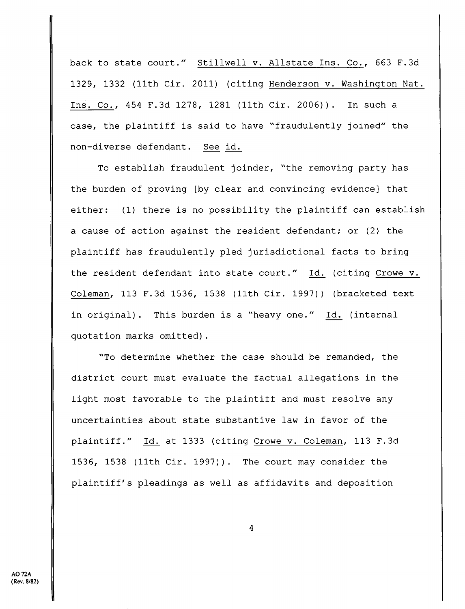back to state court." Stillwell v. Allstate Ins. Co., 663 F.3d 1329, 1332 (11th Cir. 2011) (citing Henderson v. Washington Nat. Ins. Co., 454 F.3d 1278, 1281 (11th Cir. 2006)). In such a case, the plaintiff is said to have "fraudulently joined" the non-diverse defendant. See id.

To establish fraudulent joinder, "the removing party has the burden of proving [by clear and convincing evidence] that either: (1) there is no possibility the plaintiff can establish a cause of action against the resident defendant; or (2) the plaintiff has fraudulently pled jurisdictional facts to bring the resident defendant into state court." Id. (citing Crowe v. Coleman, 113 F.3d 1536, 1538 (11th Cir. 1997)) (bracketed text in original). This burden is a "heavy one." Id. (internal quotation marks omitted).

"To determine whether the case should be remanded, the district court must evaluate the factual allegations in the light most favorable to the plaintiff and must resolve any uncertainties about state substantive law in favor of the plaintiff." Id. at 1333 (citing Crowe v. Coleman, 113 F.3d 1536, 1538 (11th Cir. 1997)). The court may consider the plaintiff's pleadings as well as affidavits and deposition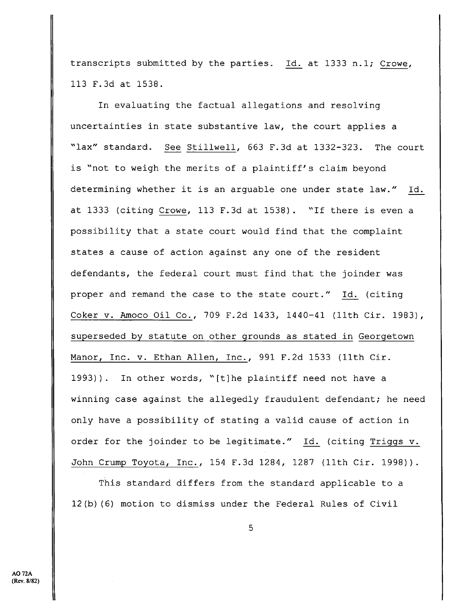transcripts submitted by the parties. Id. at 1333 n.l; Crowe, 113 F.3d at 1538.

In evaluating the factual allegations and resolving uncertainties in state substantive law, the court applies a "lax" standard. See Stillwell, 663 F.3d at 1332-323. The court is "not to weigh the merits of a plaintiff's claim beyond determining whether it is an arguable one under state law." Id. at 1333 (citing Crowe, 113 F.3d at 1538) . "If there is even a possibility that a state court would find that the complaint states a cause of action against any one of the resident defendants, the federal court must find that the joinder was proper and remand the case to the state court." Id. (citing Coker v. Amoco Oil Co., 709 F.2d 1433, 1440-41 (11th Cir. 1983), superseded by statute on other grounds as stated in Georgetown Manor, Inc. v. Ethan Allen, Inc., 991 F.2d 1533 (11th Cir. 1993)). In other words, "[t]he plaintiff need not have a winning case against the allegedly fraudulent defendant; he need only have a possibility of stating a valid cause of action in order for the joinder to be legitimate." Id. (citing Triggs v. John Crump Toyota, Inc., 154 F.3d 1284, 1287 (11th Cir. 1998)).

This standard differs from the standard applicable to a 12(b) (6) motion to dismiss under the Federal Rules of Civil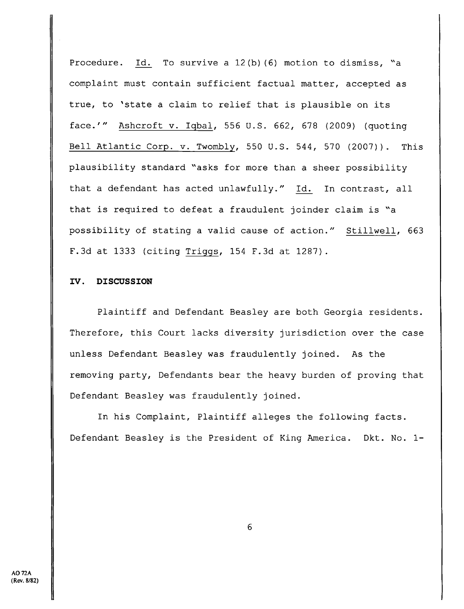Procedure. Id. To survive a 12(b) (6) motion to dismiss, "a complaint must contain sufficient factual matter, accepted as true, to 'state a claim to relief that is plausible on its face.'" Ashcroft v. Iqbal, 556 U.S. 662, 678 (2009) (quoting Bell Atlantic Corp. v. Twombly, 550 U.S. 544, 570 (2007)). This plausibility standard "asks for more than a sheer possibility that a defendant has acted unlawfully." Id. In contrast, all that is required to defeat a fraudulent joinder claim is "a possibility of stating a valid cause of action." Stillwell, 663 F.3d at 1333 (citing Triggs, 154 F.3d at 1287).

## **IV. DISCUSSION**

Plaintiff and Defendant Beasley are both Georgia residents. Therefore, this Court lacks diversity jurisdiction over the case unless Defendant Beasley was fraudulently joined. As the removing party, Defendants bear the heavy burden of proving that Defendant Beasley was fraudulently joined.

In his Complaint, Plaintiff alleges the following facts. Defendant Beasley is the President of King America. Dkt. No. 1-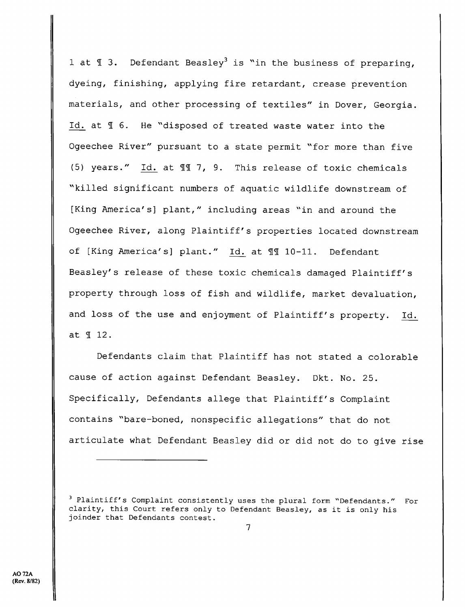1 at  $\text{\texttt{I}}$  3. Defendant Beasley<sup>3</sup> is "in the business of preparing, dyeing, finishing, applying fire retardant, crease prevention materials, and other processing of textiles" in Dover, Georgia. Id. at ¶ 6. He "disposed of treated waste water into the Ogeechee River" pursuant to a state permit "for more than five (5) years." Id. at  $\text{III}$  7, 9. This release of toxic chemicals "killed significant numbers of aquatic wildlife downstream of [King America's] plant," including areas "in and around the Ogeechee River, along Plaintiff's properties located downstream of [King America's] plant." Id. at 11 10-11. Defendant Beasley's release of these toxic chemicals damaged Plaintiff's property through loss of fish and wildlife, market devaluation, and loss of the use and enjoyment of Plaintiff's property. Id. at ¶ 12.

Defendants claim that Plaintiff has not stated a colorable cause of action against Defendant Beasley. Dkt. No. 25. Specifically, Defendants allege that Plaintiff's Complaint contains "bare-boned, nonspecific allegations" that do not articulate what Defendant Beasley did or did not do to give rise

<sup>3</sup> Plaintiff's Complaint consistently uses the plural form "Defendants." For clarity, this Court refers only to Defendant Beasley, as it is only his joinder that Defendants contest.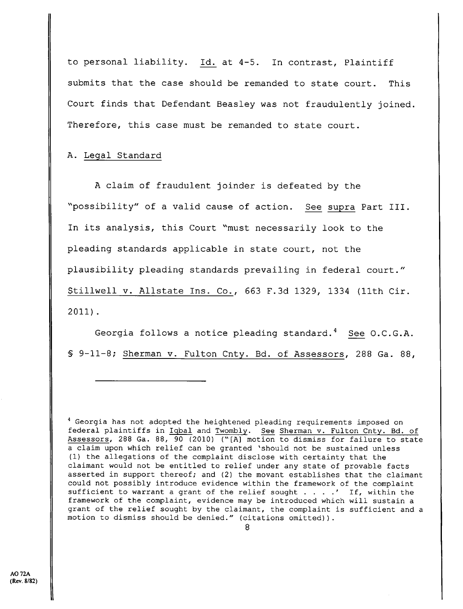to personal liability. Id. at 4-5. In contrast, Plaintiff submits that the case should be remanded to state court. This Court finds that Defendant Beasley was not fraudulently joined. Therefore, this case must be remanded to state court.

# A. Legal Standard

A claim of fraudulent joinder is defeated by the "possibility" of a valid cause of action. See supra Part III. In its analysis, this Court "must necessarily look to the pleading standards applicable in state court, not the plausibility pleading standards prevailing in federal court." Stillwell v. Allstate Ins. Co., 663 F.3d 1329, 1334 (11th Cir. 2011)

Georgia follows a notice pleading standard.<sup>4</sup> See O.C.G.A. § 9-11-8; Sherman v. Fulton Cnty. 3d. of Assessors, 288 Ga. 88,

<sup>&</sup>lt;sup>4</sup> Georgia has not adopted the heightened pleading requirements imposed on federal plaintiffs in Iqbal and Twombly. See Sherman v. Fulton Cnty. Bd. of Assessors, 288 Ga. 88, 90 (2010) ("[A] motion to dismiss for failure to state a claim upon which relief can be granted 'should not be sustained unless (1) the allegations of the complaint disclose with certainty that the claimant would not be entitled to relief under any state of provable facts asserted in support thereof; and (2) the movant establishes that the claimant could not possibly introduce evidence within the framework of the complaint sufficient to warrant a grant of the relief sought . . . .' If, within the framework of the complaint, evidence may be introduced which will sustain a grant of the relief sought by the claimant, the complaint is sufficient and a motion to dismiss should be denied." (citations omitted)).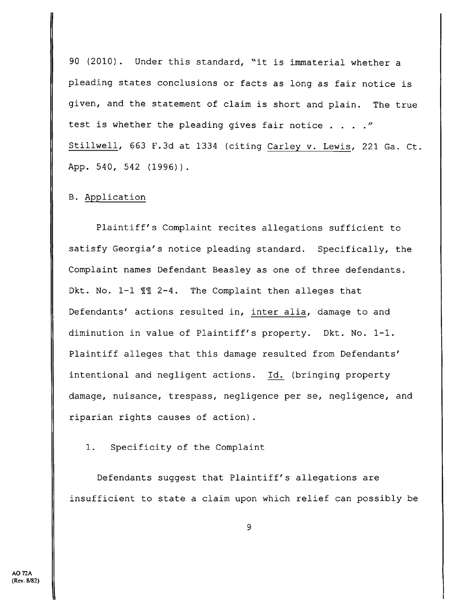90 (2010) . Under this standard, "it is immaterial whether a pleading states conclusions or facts as long as fair notice is given, and the statement of claim is short and plain. The true test is whether the pleading gives fair notice  $\ldots$ ." Stillwell, 663 F.3d at 1334 (citing Carley v. Lewis, 221 Ga. Ct. App. 540, 542 (1996)).

# B. Application

Plaintiff's Complaint recites allegations sufficient to satisfy Georgia's notice pleading standard. Specifically, the Complaint names Defendant Beasley as one of three defendants. Dkt. No. 1-1  $\mathbb{II}$  2-4. The Complaint then alleges that Defendants' actions resulted in, inter alia, damage to and diminution in value of Plaintiff's property. Dkt. No. 1-1. Plaintiff alleges that this damage resulted from Defendants' intentional and negligent actions. Id. (bringing property damage, nuisance, trespass, negligence per se, negligence, and riparian rights causes of action).

## 1. Specificity of the Complaint

Defendants suggest that Plaintiff's allegations are insufficient to state a claim upon which relief can possibly be

q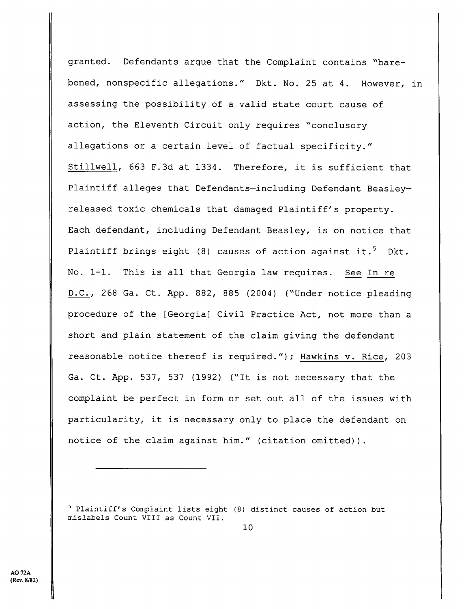granted. Defendants argue that the Complaint contains "bareboned, nonspecific allegations." Dkt. No. 25 at 4. However, in assessing the possibility of a valid state court cause of action, the Eleventh Circuit only requires "conclusory allegations or a certain level of factual specificity." Stillwell, 663 F.3d at 1334. Therefore, it is sufficient that Plaintiff alleges that Defendants—including Defendant Beasley released toxic chemicals that damaged Plaintiff's property. Each defendant, including Defendant Beasley, is on notice that Plaintiff brings eight  $(8)$  causes of action against it.<sup>5</sup> Dkt. No. 1-1. This is all that Georgia law requires. See In re D.C., 268 Ga. Ct. App. 882, 885 (2004) ("Under notice pleading procedure of the [Georgia] Civil Practice Act, not more than a short and plain statement of the claim giving the defendant reasonable notice thereof is required."); Hawkins v. Rice, 203 Ga. Ct. App. 537, 537 (1992) ("It is not necessary that the complaint be perfect in form or set out all of the issues with particularity, it is necessary only to place the defendant on notice of the claim against him." (citation omitted)).

 $5$  Plaintiff's Complaint lists eight (8) distinct causes of action but mislabels Count VIII as Count VII.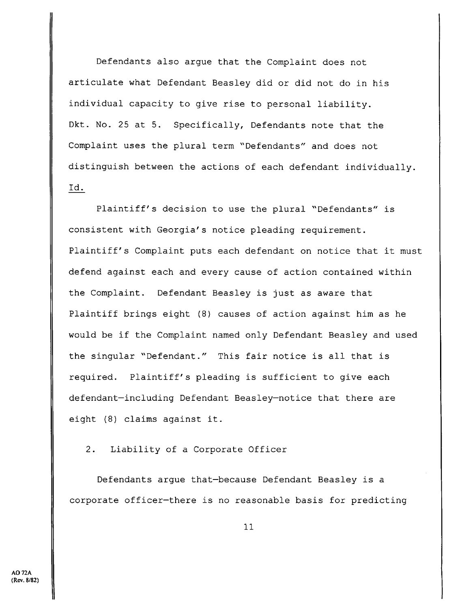Defendants also argue that the Complaint does not articulate what Defendant Beasley did or did not do in his individual capacity to give rise to personal liability. Dkt. No. 25 at 5. Specifically, Defendants note that the Complaint uses the plural term "Defendants" and does not distinguish between the actions of each defendant individually. Id.

Plaintiff's decision to use the plural "Defendants" is consistent with Georgia's notice pleading requirement. Plaintiff's Complaint puts each defendant on notice that it must defend against each and every cause of action contained within the Complaint. Defendant Beasley is just as aware that Plaintiff brings eight (8) causes of action against him as he would be if the Complaint named only Defendant Beasley and used the singular "Defendant." This fair notice is all that is required. Plaintiff's pleading is sufficient to give each defendant—including Defendant Beasley—notice that there are eight (8) claims against it.

2. Liability of a Corporate Officer

Defendants argue that—because Defendant Beasley is a corporate officer—there is no reasonable basis for predicting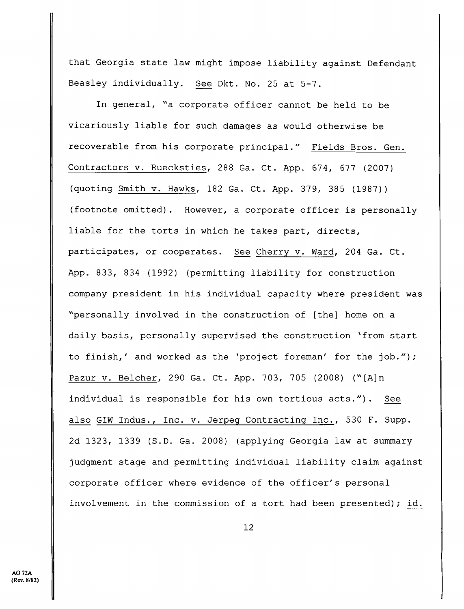that Georgia state law might impose liability against Defendant Beasley individually. See Dkt. No. 25 at 5-7.

In general, "a corporate officer cannot be held to be vicariously liable for such damages as would otherwise be recoverable from his corporate principal." Fields Bros. Gen. Contractors v. Ruecksties, 288 Ga. Ct. App. 674, 677 (2007) (quoting Smith v. Hawks, 182 Ga. Ct. App. 379, 385 (1987)) (footnote omitted) . However, a corporate officer is personally liable for the torts in which he takes part, directs, participates, or cooperates. See Cherry v. Ward, 204 Ga. Ct. App. 833, 834 (1992) (permitting liability for construction company president in his individual capacity where president was "personally involved in the construction of [the] home on a daily basis, personally supervised the construction 'from start to finish,' and worked as the 'project foreman' for the job."); Pazur v. Belcher, 290 Ga. Ct. App. 703, 705 (2008) ("[A]n individual is responsible for his own tortious acts."). See also GIW Indus., Inc. v. Jerpeg Contracting Inc., 530 F. Supp. 2d 1323, 1339 (S.D. Ga. 2008) (applying Georgia law at summary judgment stage and permitting individual liability claim against corporate officer where evidence of the officer's personal involvement in the commission of a tort had been presented); id.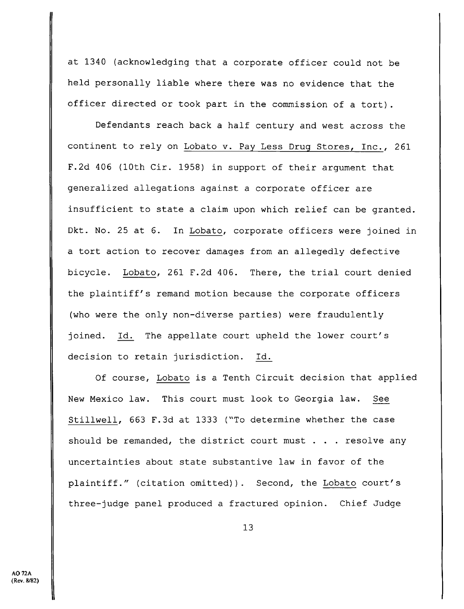at 1340 (acknowledging that a corporate officer could not be held personally liable where there was no evidence that the officer directed or took part in the commission of a tort)

Defendants reach back a half century and west across the continent to rely on Lobato v. Pay Less Drug Stores, Inc., 261 F.2d 406 (10th Cir. 1958) in support of their argument that generalized allegations against a corporate officer are insufficient to state a claim upon which relief can be granted. Dkt. No. 25 at 6. In Lobato, corporate officers were joined in a tort action to recover damages from an allegedly defective bicycle. Lobato, 261 F.2d 406. There, the trial court denied the plaintiff's remand motion because the corporate officers (who were the only non-diverse parties) were fraudulently joined. Id. The appellate court upheld the lower court's decision to retain jurisdiction. Id.

Of course, Lobato is a Tenth Circuit decision that applied New Mexico law. This court must look to Georgia law. See Stillwell, 663 F.3d at 1333 ("To determine whether the case should be remanded, the district court must . . . resolve any uncertainties about state substantive law in favor of the plaintiff." (citation omitted)). Second, the Lobato court's three-judge panel produced a fractured opinion. Chief Judge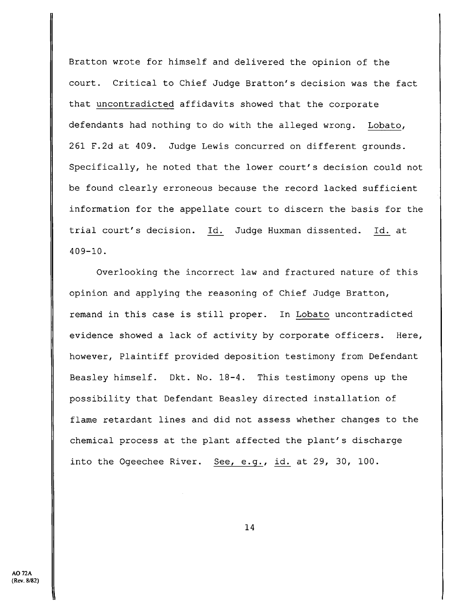Bratton wrote for himself and delivered the opinion of the court. Critical to Chief Judge Bratton's decision was the fact that uncontradicted affidavits showed that the corporate defendants had nothing to do with the alleged wrong. Lobato, 261 F.2d at 409. Judge Lewis concurred on different grounds. Specifically, he noted that the lower court's decision could not be found clearly erroneous because the record lacked sufficient information for the appellate court to discern the basis for the trial court's decision. Id. Judge Huxman dissented. Id. at 409-10.

Overlooking the incorrect law and fractured nature of this opinion and applying the reasoning of Chief Judge Bratton, remand in this case is still proper. In Lobato uncontradicted evidence showed a lack of activity by corporate officers. Here, however, Plaintiff provided deposition testimony from Defendant Beasley himself. Dkt. No. 18-4. This testimony opens up the possibility that Defendant Beasley directed installation of flame retardant lines and did not assess whether changes to the chemical process at the plant affected the plant's discharge into the Ogeechee River. See, e.g., id. at 29, 30, 100.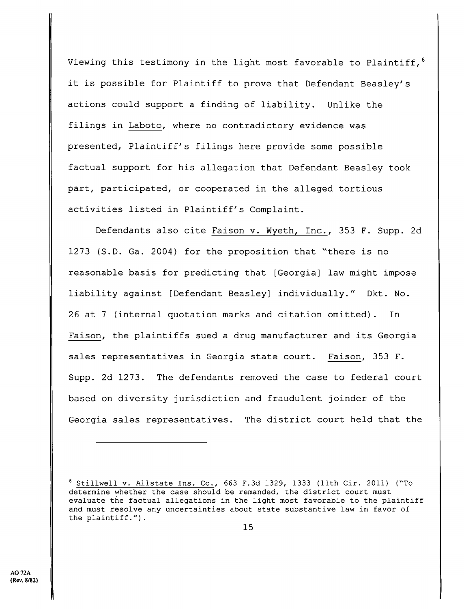Viewing this testimony in the light most favorable to Plaintiff, <sup>6</sup> it is possible for Plaintiff to prove that Defendant Beasley's actions could support a finding of liability. Unlike the filings in Laboto, where no contradictory evidence was presented, Plaintiff's filings here provide some possible factual support for his allegation that Defendant Beasley took part, participated, or cooperated in the alleged tortious activities listed in Plaintiff's Complaint.

Defendants also cite Faison v. Wyeth, Inc., 353 F. Supp. 2d 1273 (S.D. Ga. 2004) for the proposition that "there is no reasonable basis for predicting that [Georgia] law might impose liability against [Defendant Beasley] individually." Dkt. No. 26 at 7 (internal quotation marks and citation omitted). In Faison, the plaintiffs sued a drug manufacturer and its Georgia sales representatives in Georgia state court. Faison, 353 F. Supp. 2d 1273. The defendants removed the case to federal court based on diversity jurisdiction and fraudulent joinder of the Georgia sales representatives. The district court held that the

 $6$  Stillwell v. Allstate Ins. Co., 663 F.3d 1329, 1333 (11th Cir. 2011) ("To determine whether the case should be remanded, the district court must evaluate the factual allegations in the light most favorable to the plaintiff and must resolve any uncertainties about state substantive law in favor of the plaintiff.")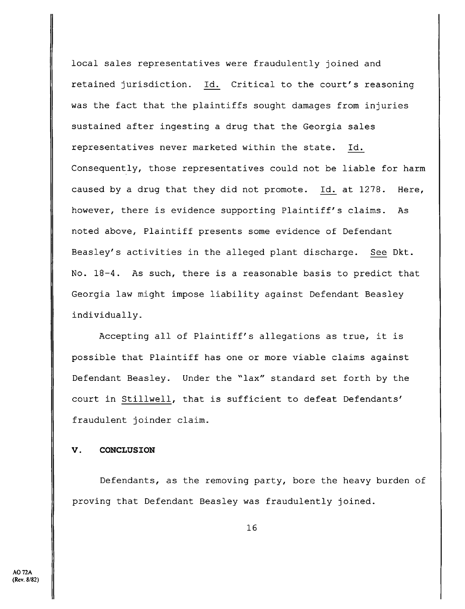local sales representatives were fraudulently joined and retained jurisdiction. Id. Critical to the court's reasoning was the fact that the plaintiffs sought damages from injuries sustained after ingesting a drug that the Georgia sales representatives never marketed within the state. Id. Consequently, those representatives could not be liable for harm caused by a drug that they did not promote. Id. at 1278. Here, however, there is evidence supporting Plaintiff's claims. As noted above, Plaintiff presents some evidence of Defendant Beasley's activities in the alleged plant discharge. See Dkt. No. 18-4. As such, there is a reasonable basis to predict that Georgia law might impose liability against Defendant Beasley individually.

Accepting all of Plaintiff's allegations as true, it is possible that Plaintiff has one or more viable claims against Defendant Beasley. Under the "lax" standard set forth by the court in Stillwell, that is sufficient to defeat Defendants' fraudulent joinder claim.

### **V. CONCLUSION**

Defendants, as the removing party, bore the heavy burden of proving that Defendant Beasley was fraudulently joined.